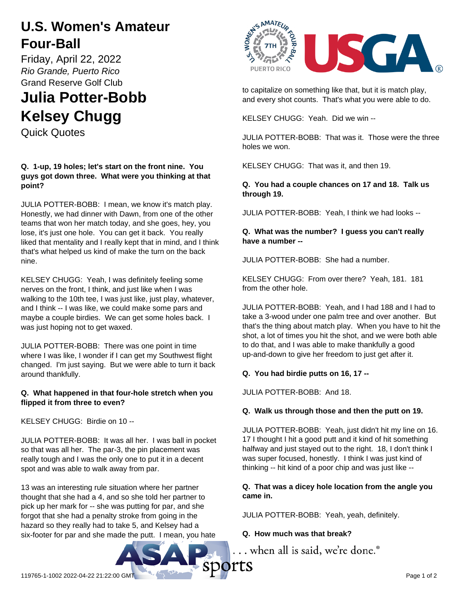# **U.S. Women's Amateur Four-Ball**

Friday, April 22, 2022 *Rio Grande, Puerto Rico* Grand Reserve Golf Club

# **Julia Potter-Bobb Kelsey Chugg**

Quick Quotes

#### **Q. 1-up, 19 holes; let's start on the front nine. You guys got down three. What were you thinking at that point?**

JULIA POTTER-BOBB: I mean, we know it's match play. Honestly, we had dinner with Dawn, from one of the other teams that won her match today, and she goes, hey, you lose, it's just one hole. You can get it back. You really liked that mentality and I really kept that in mind, and I think that's what helped us kind of make the turn on the back nine.

KELSEY CHUGG: Yeah, I was definitely feeling some nerves on the front, I think, and just like when I was walking to the 10th tee, I was just like, just play, whatever, and I think -- I was like, we could make some pars and maybe a couple birdies. We can get some holes back. I was just hoping not to get waxed.

JULIA POTTER-BOBB: There was one point in time where I was like, I wonder if I can get my Southwest flight changed. I'm just saying. But we were able to turn it back around thankfully.

# **Q. What happened in that four-hole stretch when you flipped it from three to even?**

KELSEY CHUGG: Birdie on 10 --

JULIA POTTER-BOBB: It was all her. I was ball in pocket so that was all her. The par-3, the pin placement was really tough and I was the only one to put it in a decent spot and was able to walk away from par.

13 was an interesting rule situation where her partner thought that she had a 4, and so she told her partner to pick up her mark for -- she was putting for par, and she forgot that she had a penalty stroke from going in the hazard so they really had to take 5, and Kelsey had a six-footer for par and she made the putt. I mean, you hate



to capitalize on something like that, but it is match play, and every shot counts. That's what you were able to do.

KELSEY CHUGG: Yeah. Did we win --

JULIA POTTER-BOBB: That was it. Those were the three holes we won.

KELSEY CHUGG: That was it, and then 19.

**Q. You had a couple chances on 17 and 18. Talk us through 19.**

JULIA POTTER-BOBB: Yeah, I think we had looks --

#### **Q. What was the number? I guess you can't really have a number --**

JULIA POTTER-BOBB: She had a number.

KELSEY CHUGG: From over there? Yeah, 181. 181 from the other hole.

JULIA POTTER-BOBB: Yeah, and I had 188 and I had to take a 3-wood under one palm tree and over another. But that's the thing about match play. When you have to hit the shot, a lot of times you hit the shot, and we were both able to do that, and I was able to make thankfully a good up-and-down to give her freedom to just get after it.

# **Q. You had birdie putts on 16, 17 --**

JULIA POTTER-BOBB: And 18.

# **Q. Walk us through those and then the putt on 19.**

JULIA POTTER-BOBB: Yeah, just didn't hit my line on 16. 17 I thought I hit a good putt and it kind of hit something halfway and just stayed out to the right. 18, I don't think I was super focused, honestly. I think I was just kind of thinking -- hit kind of a poor chip and was just like --

#### **Q. That was a dicey hole location from the angle you came in.**

JULIA POTTER-BOBB: Yeah, yeah, definitely.

# **Q. How much was that break?**

... when all is said, we're done.<sup>®</sup>